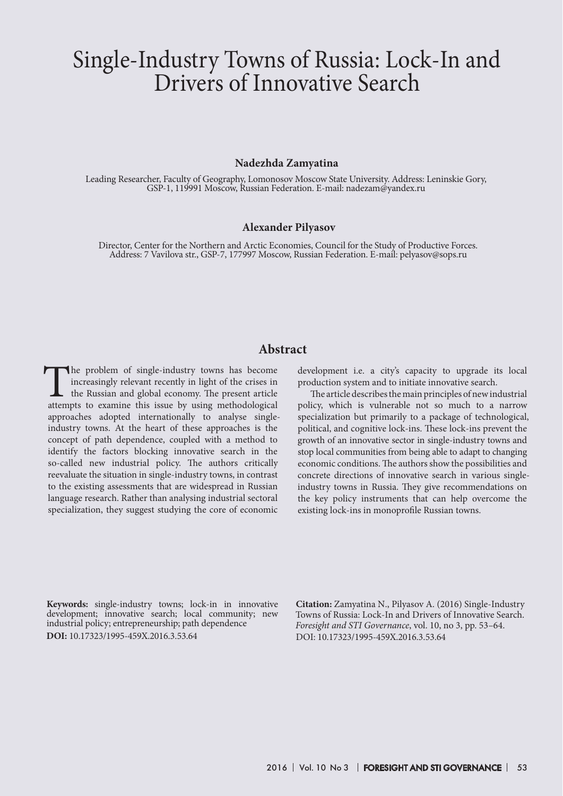# Single-Industry Towns of Russia: Lock-In and Drivers of Innovative Search

#### **Nadezhda Zamyatina**

Leading Researcher, Faculty of Geography, Lomonosov Moscow State University. Address: Leninskie Gory, GSP-1, 119991 Moscow, Russian Federation. E-mail: nadezam@yandex.ru

#### **Alexander Pilyasov**

Director, Center for the Northern and Arctic Economies, Council for the Study of Productive Forces. Address: 7 Vavilova str., GSP-7, 177997 Moscow, Russian Federation. E-mail: pelyasov@sops.ru

# **Abstract**

The problem of single-industry towns has become increasingly relevant recently in light of the crises in the Russian and global economy. The present article attempts to examine this issue by using methodological approaches adopted internationally to analyse singleindustry towns. At the heart of these approaches is the concept of path dependence, coupled with a method to identify the factors blocking innovative search in the so-called new industrial policy. The authors critically reevaluate the situation in single-industry towns, in contrast to the existing assessments that are widespread in Russian language research. Rather than analysing industrial sectoral specialization, they suggest studying the core of economic

development i.e. a city's capacity to upgrade its local production system and to initiate innovative search.

The article describes the main principles of new industrial policy, which is vulnerable not so much to a narrow specialization but primarily to a package of technological, political, and cognitive lock-ins. These lock-ins prevent the growth of an innovative sector in single-industry towns and stop local communities from being able to adapt to changing economic conditions. The authors show the possibilities and concrete directions of innovative search in various singleindustry towns in Russia. They give recommendations on the key policy instruments that can help overcome the existing lock-ins in monoprofile Russian towns.

**Keywords:** single-industry towns; lock-in in innovative development; innovative search; local community; new industrial policy; entrepreneurship; path dependence **DOI:** 10.17323/1995-459X.2016.3.53.64

**Citation:** Zamyatina N., Pilyasov A. (2016) Single-Industry Towns of Russia: Lock-In and Drivers of Innovative Search. *Foresight and STI Governance*, vol. 10, no 3, pp. 53–64. DOI: 10.17323/1995-459X.2016.3.53.64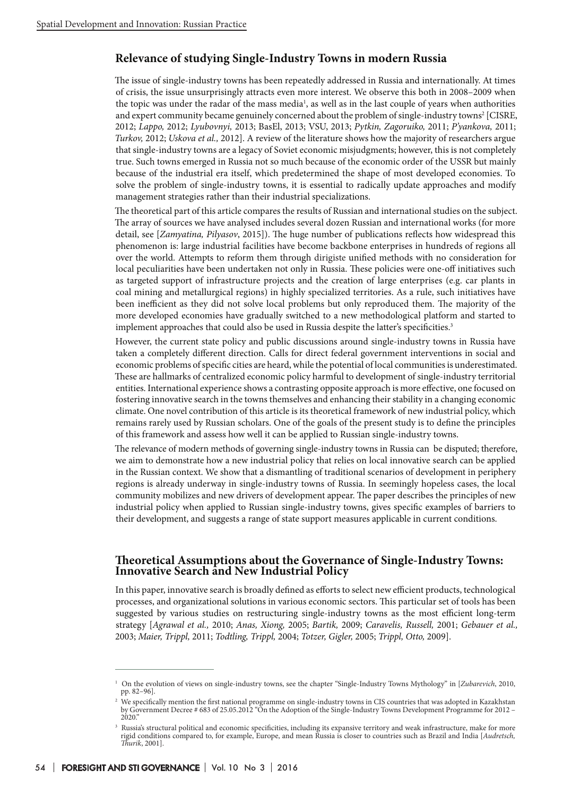## **Relevance of studying Single-Industry Towns in modern Russia**

The issue of single-industry towns has been repeatedly addressed in Russia and internationally. At times of crisis, the issue unsurprisingly attracts even more interest. We observe this both in 2008–2009 when the topic was under the radar of the mass media<sup>1</sup>, as well as in the last couple of years when authorities and expert community became genuinely concerned about the problem of single-industry towns<sup>2</sup> [CISRE, 2012; *Lappo,* 2012; *Lyubovnyi,* 2013; BasEl, 2013; VSU, 2013; *Pytkin, Zagoruiko,* 2011; *P'yankova,* 2011; *Turkov,* 2012; *Uskova et al.,* 2012]. A review of the literature shows how the majority of researchers argue that single-industry towns are a legacy of Soviet economic misjudgments; however, this is not completely true. Such towns emerged in Russia not so much because of the economic order of the USSR but mainly because of the industrial era itself, which predetermined the shape of most developed economies. To solve the problem of single-industry towns, it is essential to radically update approaches and modify management strategies rather than their industrial specializations.

The theoretical part of this article compares the results of Russian and international studies on the subject. The array of sources we have analysed includes several dozen Russian and international works (for more detail, see [*Zamyatina, Pilyasov*, 2015]). The huge number of publications reflects how widespread this phenomenon is: large industrial facilities have become backbone enterprises in hundreds of regions all over the world. Attempts to reform them through dirigiste unified methods with no consideration for local peculiarities have been undertaken not only in Russia. These policies were one-off initiatives such as targeted support of infrastructure projects and the creation of large enterprises (e.g. car plants in coal mining and metallurgical regions) in highly specialized territories. As a rule, such initiatives have been inefficient as they did not solve local problems but only reproduced them. The majority of the more developed economies have gradually switched to a new methodological platform and started to implement approaches that could also be used in Russia despite the latter's specificities.<sup>3</sup>

However, the current state policy and public discussions around single-industry towns in Russia have taken a completely different direction. Calls for direct federal government interventions in social and economic problems of specific cities are heard, while the potential of local communities is underestimated. These are hallmarks of centralized economic policy harmful to development of single-industry territorial entities. International experience shows a contrasting opposite approach is more effective, one focused on fostering innovative search in the towns themselves and enhancing their stability in a changing economic climate. One novel contribution of this article is its theoretical framework of new industrial policy, which remains rarely used by Russian scholars. One of the goals of the present study is to define the principles of this framework and assess how well it can be applied to Russian single-industry towns.

The relevance of modern methods of governing single-industry towns in Russia can be disputed; therefore, we aim to demonstrate how a new industrial policy that relies on local innovative search can be applied in the Russian context. We show that a dismantling of traditional scenarios of development in periphery regions is already underway in single-industry towns of Russia. In seemingly hopeless cases, the local community mobilizes and new drivers of development appear. The paper describes the principles of new industrial policy when applied to Russian single-industry towns, gives specific examples of barriers to their development, and suggests a range of state support measures applicable in current conditions.

## **Theoretical Assumptions about the Governance of Single-Industry Towns: Innovative Search and New Industrial Policy**

In this paper, innovative search is broadly defined as efforts to select new efficient products, technological processes, and organizational solutions in various economic sectors. This particular set of tools has been suggested by various studies on restructuring single-industry towns as the most efficient long-term strategy [*Agrawal et al.,* 2010; *Anas, Xiong,* 2005; *Bartik,* 2009; *Caravelis, Russell,* 2001; *Gebauer et al.,* 2003; *Maier, Trippl,* 2011; *Todtling, Trippl,* 2004; *Totzer, Gigler,* 2005; *Trippl, Otto,* 2009].

<sup>1</sup> On the evolution of views on single-industry towns, see the chapter "Single-Industry Towns Mythology" in [*Zubarevich*, 2010, pp. 82–96].

<sup>2</sup> We specifically mention the first national programme on single-industry towns in CIS countries that was adopted in Kazakhstan by Government Decree # 683 of 25.05.2012 "On the Adoption of the Single-Industry Towns Development Programme for 2012 – 2020

<sup>&</sup>lt;sup>3</sup> Russia's structural political and economic specificities, including its expansive territory and weak infrastructure, make for more rigid conditions compared to, for example, Europe, and mean Russia is closer to countries such as Brazil and India [*Audretsch, Thurik*, 2001].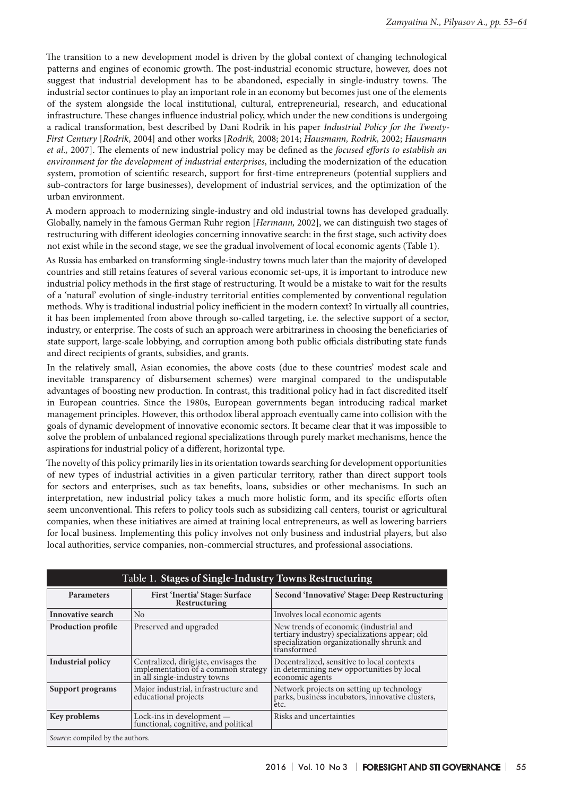The transition to a new development model is driven by the global context of changing technological patterns and engines of economic growth. The post-industrial economic structure, however, does not suggest that industrial development has to be abandoned, especially in single-industry towns. The industrial sector continues to play an important role in an economy but becomes just one of the elements of the system alongside the local institutional, cultural, entrepreneurial, research, and educational infrastructure. These changes influence industrial policy, which under the new conditions is undergoing a radical transformation, best described by Dani Rodrik in his paper *Industrial Policy for the Twenty-First Century* [*Rodrik*, 2004] and other works [*Rodrik,* 2008; 2014; *Hausmann, Rodrik,* 2002; *Hausmann et al.,* 2007]. The elements of new industrial policy may be defined as the *focused efforts to establish an environment for the development of industrial enterprises*, including the modernization of the education system, promotion of scientific research, support for first-time entrepreneurs (potential suppliers and sub-contractors for large businesses), development of industrial services, and the optimization of the urban environment.

A modern approach to modernizing single-industry and old industrial towns has developed gradually. Globally, namely in the famous German Ruhr region [*Hermann,* 2002], we can distinguish two stages of restructuring with different ideologies concerning innovative search: in the first stage, such activity does not exist while in the second stage, we see the gradual involvement of local economic agents (Table 1).

As Russia has embarked on transforming single-industry towns much later than the majority of developed countries and still retains features of several various economic set-ups, it is important to introduce new industrial policy methods in the first stage of restructuring. It would be a mistake to wait for the results of a 'natural' evolution of single-industry territorial entities complemented by conventional regulation methods. Why is traditional industrial policy inefficient in the modern context? In virtually all countries, it has been implemented from above through so-called targeting, i.e. the selective support of a sector, industry, or enterprise. The costs of such an approach were arbitrariness in choosing the beneficiaries of state support, large-scale lobbying, and corruption among both public officials distributing state funds and direct recipients of grants, subsidies, and grants.

In the relatively small, Asian economies, the above costs (due to these countries' modest scale and inevitable transparency of disbursement schemes) were marginal compared to the undisputable advantages of boosting new production. In contrast, this traditional policy had in fact discredited itself in European countries. Since the 1980s, European governments began introducing radical market management principles. However, this orthodox liberal approach eventually came into collision with the goals of dynamic development of innovative economic sectors. It became clear that it was impossible to solve the problem of unbalanced regional specializations through purely market mechanisms, hence the aspirations for industrial policy of a different, horizontal type.

The novelty of this policy primarily lies in its orientation towards searching for development opportunities of new types of industrial activities in a given particular territory, rather than direct support tools for sectors and enterprises, such as tax benefits, loans, subsidies or other mechanisms. In such an interpretation, new industrial policy takes a much more holistic form, and its specific efforts often seem unconventional. This refers to policy tools such as subsidizing call centers, tourist or agricultural companies, when these initiatives are aimed at training local entrepreneurs, as well as lowering barriers for local business. Implementing this policy involves not only business and industrial players, but also local authorities, service companies, non-commercial structures, and professional associations.

| Table 1. Stages of Single-Industry Towns Restructuring |                                                                                                              |                                                                                                                                                       |
|--------------------------------------------------------|--------------------------------------------------------------------------------------------------------------|-------------------------------------------------------------------------------------------------------------------------------------------------------|
| <b>Parameters</b>                                      | First 'Inertia' Stage: Surface<br>Restructuring                                                              | Second 'Innovative' Stage: Deep Restructuring                                                                                                         |
| <b>Innovative search</b>                               | N <sub>0</sub>                                                                                               | Involves local economic agents                                                                                                                        |
| <b>Production profile</b>                              | Preserved and upgraded                                                                                       | New trends of economic (industrial and<br>tertiary industry) specializations appear; old<br>specialization organizationally shrunk and<br>transformed |
| Industrial policy                                      | Centralized, dirigiste, envisages the<br>implementation of a common strategy<br>in all single-industry towns | Decentralized, sensitive to local contexts<br>in determining new opportunities by local<br>economic agents                                            |
| Support programs                                       | Major industrial, infrastructure and<br>educational projects                                                 | Network projects on setting up technology<br>parks, business incubators, innovative clusters,<br>etc.                                                 |
| <b>Key problems</b>                                    | Lock-ins in development -<br>functional, cognitive, and political                                            | Risks and uncertainties                                                                                                                               |
| <i>Source:</i> compiled by the authors.                |                                                                                                              |                                                                                                                                                       |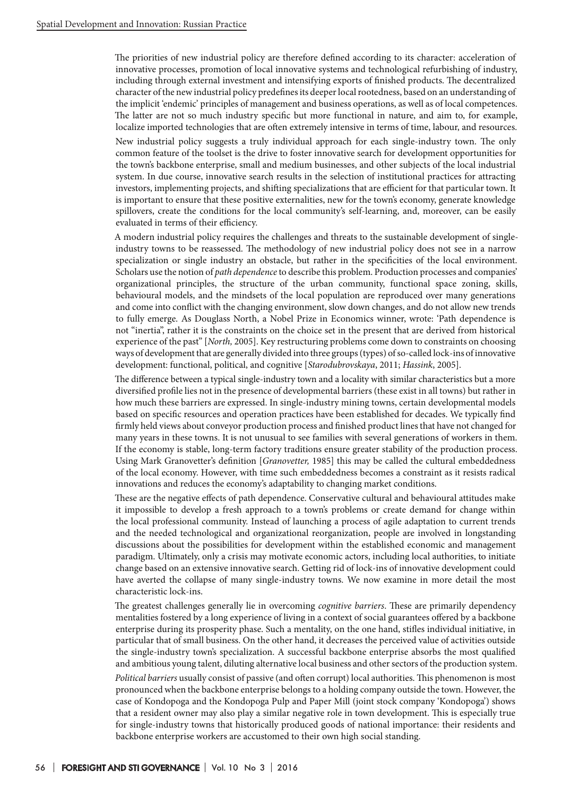The priorities of new industrial policy are therefore defined according to its character: acceleration of innovative processes, promotion of local innovative systems and technological refurbishing of industry, including through external investment and intensifying exports of finished products. The decentralized character of the new industrial policy predefines its deeper local rootedness, based on an understanding of the implicit 'endemic' principles of management and business operations, as well as of local competences. The latter are not so much industry specific but more functional in nature, and aim to, for example, localize imported technologies that are often extremely intensive in terms of time, labour, and resources.

New industrial policy suggests a truly individual approach for each single-industry town. The only common feature of the toolset is the drive to foster innovative search for development opportunities for the town's backbone enterprise, small and medium businesses, and other subjects of the local industrial system. In due course, innovative search results in the selection of institutional practices for attracting investors, implementing projects, and shifting specializations that are efficient for that particular town. It is important to ensure that these positive externalities, new for the town's economy, generate knowledge spillovers, create the conditions for the local community's self-learning, and, moreover, can be easily evaluated in terms of their efficiency.

A modern industrial policy requires the challenges and threats to the sustainable development of singleindustry towns to be reassessed. The methodology of new industrial policy does not see in a narrow specialization or single industry an obstacle, but rather in the specificities of the local environment. Scholars use the notion of *path dependence* to describe this problem. Production processes and companies' organizational principles, the structure of the urban community, functional space zoning, skills, behavioural models, and the mindsets of the local population are reproduced over many generations and come into conflict with the changing environment, slow down changes, and do not allow new trends to fully emerge. As Douglass North, a Nobel Prize in Economics winner, wrote: 'Path dependence is not "inertia", rather it is the constraints on the choice set in the present that are derived from historical experience of the past" [*North,* 2005]. Key restructuring problems come down to constraints on choosing ways of development that are generally divided into three groups (types) of so-called lock-ins of innovative development: functional, political, and cognitive [*Starodubrovskaya*, 2011; *Hassink*, 2005].

The difference between a typical single-industry town and a locality with similar characteristics but a more diversified profile lies not in the presence of developmental barriers (these exist in all towns) but rather in how much these barriers are expressed. In single-industry mining towns, certain developmental models based on specific resources and operation practices have been established for decades. We typically find firmly held views about conveyor production process and finished product lines that have not changed for many years in these towns. It is not unusual to see families with several generations of workers in them. If the economy is stable, long-term factory traditions ensure greater stability of the production process. Using Mark Granovetter's definition [*Granovetter,* 1985] this may be called the cultural embeddedness of the local economy. However, with time such embeddedness becomes a constraint as it resists radical innovations and reduces the economy's adaptability to changing market conditions.

These are the negative effects of path dependence. Conservative cultural and behavioural attitudes make it impossible to develop a fresh approach to a town's problems or create demand for change within the local professional community. Instead of launching a process of agile adaptation to current trends and the needed technological and organizational reorganization, people are involved in longstanding discussions about the possibilities for development within the established economic and management paradigm. Ultimately, only a crisis may motivate economic actors, including local authorities, to initiate change based on an extensive innovative search. Getting rid of lock-ins of innovative development could have averted the collapse of many single-industry towns. We now examine in more detail the most characteristic lock-ins.

The greatest challenges generally lie in overcoming *cognitive barriers*. These are primarily dependency mentalities fostered by a long experience of living in a context of social guarantees offered by a backbone enterprise during its prosperity phase. Such a mentality, on the one hand, stifles individual initiative, in particular that of small business. On the other hand, it decreases the perceived value of activities outside the single-industry town's specialization. A successful backbone enterprise absorbs the most qualified and ambitious young talent, diluting alternative local business and other sectors of the production system.

*Political barriers* usually consist of passive (and often corrupt) local authorities. This phenomenon is most pronounced when the backbone enterprise belongs to a holding company outside the town. However, the case of Kondopoga and the Kondopoga Pulp and Paper Mill (joint stock company 'Kondopoga') shows that a resident owner may also play a similar negative role in town development. This is especially true for single-industry towns that historically produced goods of national importance: their residents and backbone enterprise workers are accustomed to their own high social standing.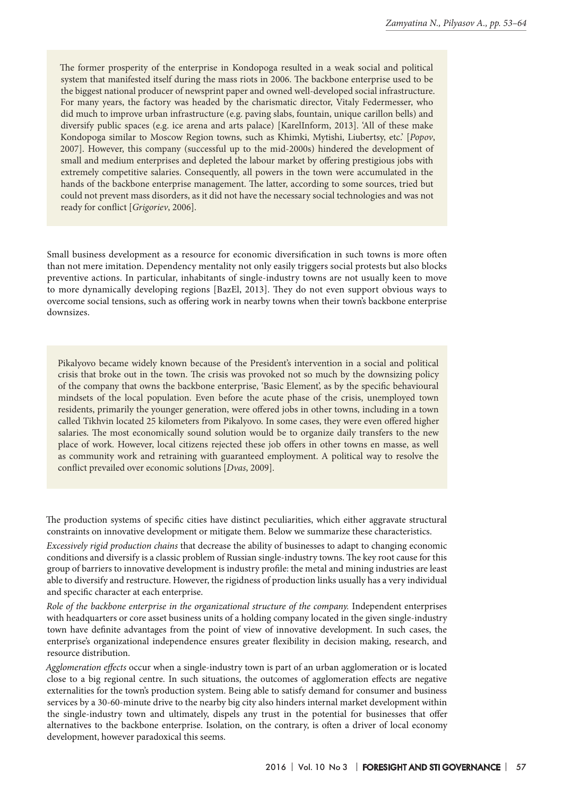The former prosperity of the enterprise in Kondopoga resulted in a weak social and political system that manifested itself during the mass riots in 2006. The backbone enterprise used to be the biggest national producer of newsprint paper and owned well-developed social infrastructure. For many years, the factory was headed by the charismatic director, Vitaly Federmesser, who did much to improve urban infrastructure (e.g. paving slabs, fountain, unique carillon bells) and diversify public spaces (e.g. ice arena and arts palace) [KarelInform, 2013]. 'All of these make Kondopoga similar to Moscow Region towns, such as Khimki, Mytishi, Liubertsy, etc.' [*Popov*, 2007]. However, this company (successful up to the mid-2000s) hindered the development of small and medium enterprises and depleted the labour market by offering prestigious jobs with extremely competitive salaries. Consequently, all powers in the town were accumulated in the hands of the backbone enterprise management. The latter, according to some sources, tried but could not prevent mass disorders, as it did not have the necessary social technologies and was not ready for conflict [*Grigoriev*, 2006].

Small business development as a resource for economic diversification in such towns is more often than not mere imitation. Dependency mentality not only easily triggers social protests but also blocks preventive actions. In particular, inhabitants of single-industry towns are not usually keen to move to more dynamically developing regions [BazEl, 2013]. They do not even support obvious ways to overcome social tensions, such as offering work in nearby towns when their town's backbone enterprise downsizes.

Pikalyovo became widely known because of the President's intervention in a social and political crisis that broke out in the town. The crisis was provoked not so much by the downsizing policy of the company that owns the backbone enterprise, 'Basic Element', as by the specific behavioural mindsets of the local population. Even before the acute phase of the crisis, unemployed town residents, primarily the younger generation, were offered jobs in other towns, including in a town called Tikhvin located 25 kilometers from Pikalyovo. In some cases, they were even offered higher salaries. The most economically sound solution would be to organize daily transfers to the new place of work. However, local citizens rejected these job offers in other towns en masse, as well as community work and retraining with guaranteed employment. A political way to resolve the conflict prevailed over economic solutions [*Dvas*, 2009].

The production systems of specific cities have distinct peculiarities, which either aggravate structural constraints on innovative development or mitigate them. Below we summarize these characteristics.

*Excessively rigid production chains* that decrease the ability of businesses to adapt to changing economic conditions and diversify is a classic problem of Russian single-industry towns. The key root cause for this group of barriers to innovative development is industry profile: the metal and mining industries are least able to diversify and restructure. However, the rigidness of production links usually has a very individual and specific character at each enterprise.

*Role of the backbone enterprise in the organizational structure of the company.* Independent enterprises with headquarters or core asset business units of a holding company located in the given single-industry town have definite advantages from the point of view of innovative development. In such cases, the enterprise's organizational independence ensures greater flexibility in decision making, research, and resource distribution.

*Agglomeration effects* occur when a single-industry town is part of an urban agglomeration or is located close to a big regional centre. In such situations, the outcomes of agglomeration effects are negative externalities for the town's production system. Being able to satisfy demand for consumer and business services by a 30-60-minute drive to the nearby big city also hinders internal market development within the single-industry town and ultimately, dispels any trust in the potential for businesses that offer alternatives to the backbone enterprise. Isolation, on the contrary, is often a driver of local economy development, however paradoxical this seems.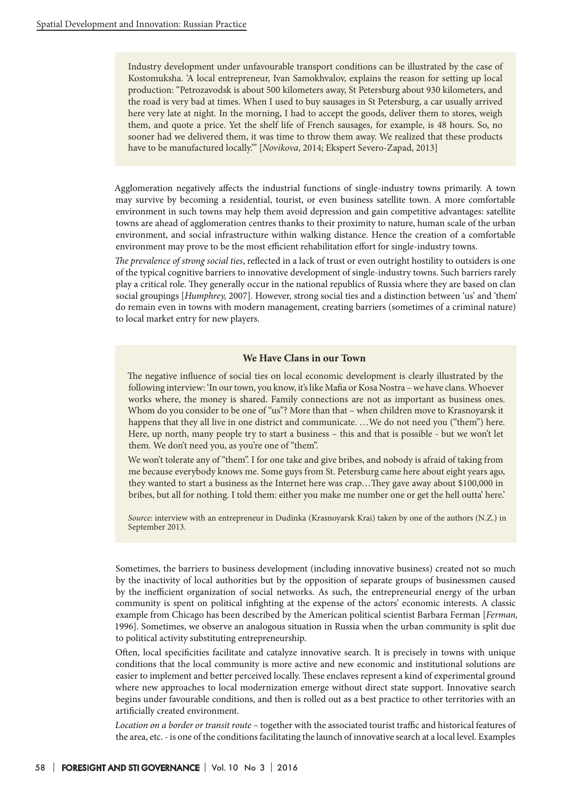Industry development under unfavourable transport conditions can be illustrated by the case of Kostomuksha. 'A local entrepreneur, Ivan Samokhvalov, explains the reason for setting up local production: "Petrozavodsk is about 500 kilometers away, St Petersburg about 930 kilometers, and the road is very bad at times. When I used to buy sausages in St Petersburg, a car usually arrived here very late at night. In the morning, I had to accept the goods, deliver them to stores, weigh them, and quote a price. Yet the shelf life of French sausages, for example, is 48 hours. So, no sooner had we delivered them, it was time to throw them away. We realized that these products have to be manufactured locally."' [*Novikova*, 2014; Ekspert Severo-Zapad, 2013]

Agglomeration negatively affects the industrial functions of single-industry towns primarily. A town may survive by becoming a residential, tourist, or even business satellite town. A more comfortable environment in such towns may help them avoid depression and gain competitive advantages: satellite towns are ahead of agglomeration centres thanks to their proximity to nature, human scale of the urban environment, and social infrastructure within walking distance. Hence the creation of a comfortable environment may prove to be the most efficient rehabilitation effort for single-industry towns.

*The prevalence of strong social ties*, reflected in a lack of trust or even outright hostility to outsiders is one of the typical cognitive barriers to innovative development of single-industry towns. Such barriers rarely play a critical role. They generally occur in the national republics of Russia where they are based on clan social groupings [*Humphrey,* 2007]. However, strong social ties and a distinction between 'us' and 'them' do remain even in towns with modern management, creating barriers (sometimes of a criminal nature) to local market entry for new players.

#### **We Have Clans in our Town**

The negative influence of social ties on local economic development is clearly illustrated by the following interview: 'In our town, you know, it's like Mafia or Kosa Nostra – we have clans. Whoever works where, the money is shared. Family connections are not as important as business ones. Whom do you consider to be one of "us"? More than that – when children move to Krasnoyarsk it happens that they all live in one district and communicate. …We do not need you ("them") here. Here, up north, many people try to start a business – this and that is possible - but we won't let them. We don't need you, as you're one of "them".

We won't tolerate any of "them". I for one take and give bribes, and nobody is afraid of taking from me because everybody knows me. Some guys from St. Petersburg came here about eight years ago, they wanted to start a business as the Internet here was crap…They gave away about \$100,000 in bribes, but all for nothing. I told them: either you make me number one or get the hell outta' here.'

*Source*: interview with an entrepreneur in Dudinka (Krasnoyarsk Krai) taken by one of the authors (N.Z.) in September 2013.

Sometimes, the barriers to business development (including innovative business) created not so much by the inactivity of local authorities but by the opposition of separate groups of businessmen caused by the inefficient organization of social networks. As such, the entrepreneurial energy of the urban community is spent on political infighting at the expense of the actors' economic interests. A classic example from Chicago has been described by the American political scientist Barbara Ferman [*Ferman,* 1996]. Sometimes, we observe an analogous situation in Russia when the urban community is split due to political activity substituting entrepreneurship.

Often, local specificities facilitate and catalyze innovative search. It is precisely in towns with unique conditions that the local community is more active and new economic and institutional solutions are easier to implement and better perceived locally. These enclaves represent a kind of experimental ground where new approaches to local modernization emerge without direct state support. Innovative search begins under favourable conditions, and then is rolled out as a best practice to other territories with an artificially created environment.

*Location on a border or transit route* – together with the associated tourist traffic and historical features of the area, etc. - is one of the conditions facilitating the launch of innovative search at a local level. Examples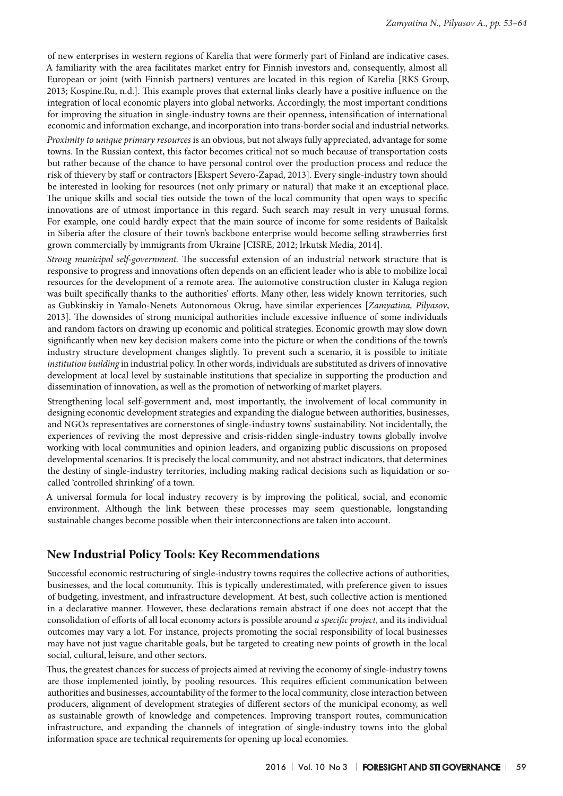of new enterprises in western regions of Karelia that were formerly part of Finland are indicative cases. A familiarity with the area facilitates market entry for Finnish investors and, consequently, almost all European or joint (with Finnish partners) ventures are located in this region of Karelia [RKS Group, 2013; Kospine.Ru, n.d.]. This example proves that external links clearly have a positive influence on the integration of local economic players into global networks. Accordingly, the most important conditions for improving the situation in single-industry towns are their openness, intensification of international economic and information exchange, and incorporation into trans-border social and industrial networks.

*Proximity to unique primary resources* is an obvious, but not always fully appreciated, advantage for some towns. In the Russian context, this factor becomes critical not so much because of transportation costs but rather because of the chance to have personal control over the production process and reduce the risk of thievery by staff or contractors [Ekspert Severo-Zapad, 2013]. Every single-industry town should be interested in looking for resources (not only primary or natural) that make it an exceptional place. The unique skills and social ties outside the town of the local community that open ways to specific innovations are of utmost importance in this regard. Such search may result in very unusual forms. For example, one could hardly expect that the main source of income for some residents of Baikalsk in Siberia after the closure of their town's backbone enterprise would become selling strawberries first grown commercially by immigrants from Ukraine [CISRE, 2012; Irkutsk Media, 2014].

*Strong municipal self-government.* The successful extension of an industrial network structure that is responsive to progress and innovations often depends on an efficient leader who is able to mobilize local resources for the development of a remote area. The automotive construction cluster in Kaluga region was built specifically thanks to the authorities' efforts. Many other, less widely known territories, such as Gubkinskiy in Yamalo-Nenets Autonomous Okrug, have similar experiences [*Zamyatina, Pilyasov*, 2013]. The downsides of strong municipal authorities include excessive influence of some individuals and random factors on drawing up economic and political strategies. Economic growth may slow down significantly when new key decision makers come into the picture or when the conditions of the town's industry structure development changes slightly. To prevent such a scenario, it is possible to initiate *institution building* in industrial policy. In other words, individuals are substituted as drivers of innovative development at local level by sustainable institutions that specialize in supporting the production and dissemination of innovation, as well as the promotion of networking of market players.

Strengthening local self-government and, most importantly, the involvement of local community in designing economic development strategies and expanding the dialogue between authorities, businesses, and NGOs representatives are cornerstones of single-industry towns' sustainability. Not incidentally, the experiences of reviving the most depressive and crisis-ridden single-industry towns globally involve working with local communities and opinion leaders, and organizing public discussions on proposed developmental scenarios. It is precisely the local community, and not abstract indicators, that determines the destiny of single-industry territories, including making radical decisions such as liquidation or socalled 'controlled shrinking' of a town.

A universal formula for local industry recovery is by improving the political, social, and economic environment. Although the link between these processes may seem questionable, longstanding sustainable changes become possible when their interconnections are taken into account.

## **New Industrial Policy Tools: Key Recommendations**

Successful economic restructuring of single-industry towns requires the collective actions of authorities, businesses, and the local community. This is typically underestimated, with preference given to issues of budgeting, investment, and infrastructure development. At best, such collective action is mentioned in a declarative manner. However, these declarations remain abstract if one does not accept that the consolidation of efforts of all local economy actors is possible around *a specific project*, and its individual outcomes may vary a lot. For instance, projects promoting the social responsibility of local businesses may have not just vague charitable goals, but be targeted to creating new points of growth in the local social, cultural, leisure, and other sectors.

Thus, the greatest chances for success of projects aimed at reviving the economy of single-industry towns are those implemented jointly, by pooling resources. This requires efficient communication between authorities and businesses, accountability of the former to the local community, close interaction between producers, alignment of development strategies of different sectors of the municipal economy, as well as sustainable growth of knowledge and competences. Improving transport routes, communication infrastructure, and expanding the channels of integration of single-industry towns into the global information space are technical requirements for opening up local economies.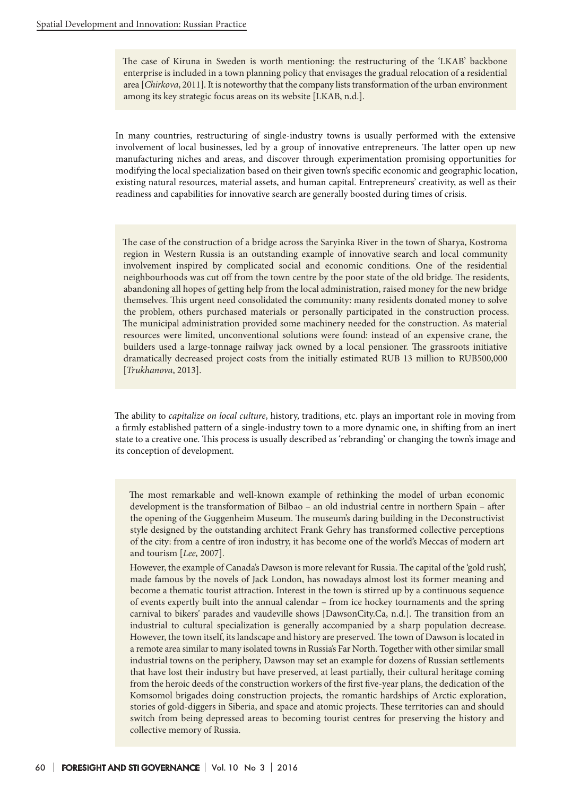The case of Kiruna in Sweden is worth mentioning: the restructuring of the 'LKAB' backbone enterprise is included in a town planning policy that envisages the gradual relocation of a residential area [*Chirkova*, 2011]. It is noteworthy that the company lists transformation of the urban environment among its key strategic focus areas on its website [LKAB, n.d.].

In many countries, restructuring of single-industry towns is usually performed with the extensive involvement of local businesses, led by a group of innovative entrepreneurs. The latter open up new manufacturing niches and areas, and discover through experimentation promising opportunities for modifying the local specialization based on their given town's specific economic and geographic location, existing natural resources, material assets, and human capital. Entrepreneurs' creativity, as well as their readiness and capabilities for innovative search are generally boosted during times of crisis.

The case of the construction of a bridge across the Saryinka River in the town of Sharya, Kostroma region in Western Russia is an outstanding example of innovative search and local community involvement inspired by complicated social and economic conditions. One of the residential neighbourhoods was cut off from the town centre by the poor state of the old bridge. The residents, abandoning all hopes of getting help from the local administration, raised money for the new bridge themselves. This urgent need consolidated the community: many residents donated money to solve the problem, others purchased materials or personally participated in the construction process. The municipal administration provided some machinery needed for the construction. As material resources were limited, unconventional solutions were found: instead of an expensive crane, the builders used a large-tonnage railway jack owned by a local pensioner. The grassroots initiative dramatically decreased project costs from the initially estimated RUB 13 million to RUB500,000 [*Trukhanova*, 2013].

The ability to *capitalize on local culture*, history, traditions, etc. plays an important role in moving from a firmly established pattern of a single-industry town to a more dynamic one, in shifting from an inert state to a creative one. This process is usually described as 'rebranding' or changing the town's image and its conception of development.

The most remarkable and well-known example of rethinking the model of urban economic development is the transformation of Bilbao – an old industrial centre in northern Spain – after the opening of the Guggenheim Museum. The museum's daring building in the Deconstructivist style designed by the outstanding architect Frank Gehry has transformed collective perceptions of the city: from a centre of iron industry, it has become one of the world's Meccas of modern art and tourism [*Lee,* 2007].

However, the example of Canada's Dawson is more relevant for Russia. The capital of the 'gold rush', made famous by the novels of Jack London, has nowadays almost lost its former meaning and become a thematic tourist attraction. Interest in the town is stirred up by a continuous sequence of events expertly built into the annual calendar – from ice hockey tournaments and the spring carnival to bikers' parades and vaudeville shows [DawsonCity.Ca, n.d.]. The transition from an industrial to cultural specialization is generally accompanied by a sharp population decrease. However, the town itself, its landscape and history are preserved. The town of Dawson is located in a remote area similar to many isolated towns in Russia's Far North. Together with other similar small industrial towns on the periphery, Dawson may set an example for dozens of Russian settlements that have lost their industry but have preserved, at least partially, their cultural heritage coming from the heroic deeds of the construction workers of the first five-year plans, the dedication of the Komsomol brigades doing construction projects, the romantic hardships of Arctic exploration, stories of gold-diggers in Siberia, and space and atomic projects. These territories can and should switch from being depressed areas to becoming tourist centres for preserving the history and collective memory of Russia.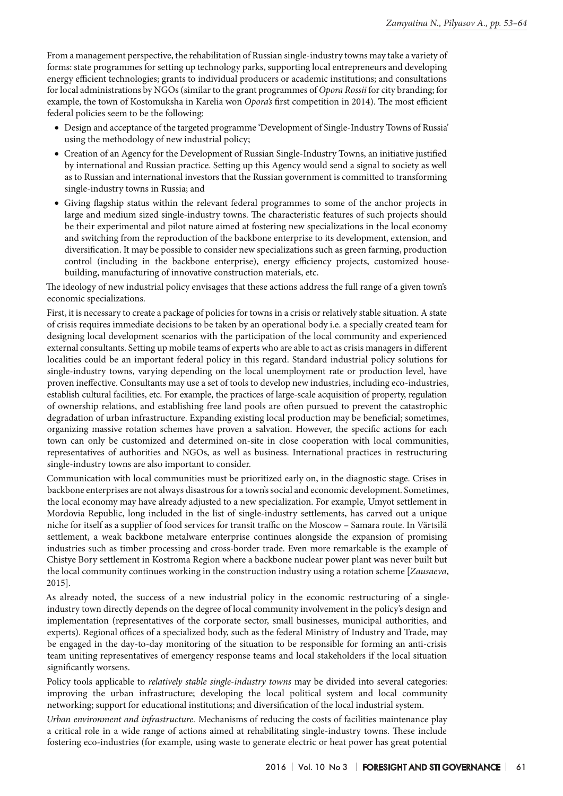From a management perspective, the rehabilitation of Russian single-industry towns may take a variety of forms: state programmes for setting up technology parks, supporting local entrepreneurs and developing energy efficient technologies; grants to individual producers or academic institutions; and consultations for local administrations by NGOs (similar to the grant programmes of *Opora Rossii* for city branding; for example, the town of Kostomuksha in Karelia won *Opora's* first competition in 2014). The most efficient federal policies seem to be the following:

- • Design and acceptance of the targeted programme 'Development of Single-Industry Towns of Russia' using the methodology of new industrial policy;
- • Creation of an Agency for the Development of Russian Single-Industry Towns, an initiative justified by international and Russian practice. Setting up this Agency would send a signal to society as well as to Russian and international investors that the Russian government is committed to transforming single-industry towns in Russia; and
- • Giving flagship status within the relevant federal programmes to some of the anchor projects in large and medium sized single-industry towns. The characteristic features of such projects should be their experimental and pilot nature aimed at fostering new specializations in the local economy and switching from the reproduction of the backbone enterprise to its development, extension, and diversification. It may be possible to consider new specializations such as green farming, production control (including in the backbone enterprise), energy efficiency projects, customized housebuilding, manufacturing of innovative construction materials, etc.

The ideology of new industrial policy envisages that these actions address the full range of a given town's economic specializations.

First, it is necessary to create a package of policies for towns in a crisis or relatively stable situation. A state of crisis requires immediate decisions to be taken by an operational body i.e. a specially created team for designing local development scenarios with the participation of the local community and experienced external consultants. Setting up mobile teams of experts who are able to act as crisis managers in different localities could be an important federal policy in this regard. Standard industrial policy solutions for single-industry towns, varying depending on the local unemployment rate or production level, have proven ineffective. Consultants may use a set of tools to develop new industries, including eco-industries, establish cultural facilities, etc. For example, the practices of large-scale acquisition of property, regulation of ownership relations, and establishing free land pools are often pursued to prevent the catastrophic degradation of urban infrastructure. Expanding existing local production may be beneficial; sometimes, organizing massive rotation schemes have proven a salvation. However, the specific actions for each town can only be customized and determined on-site in close cooperation with local communities, representatives of authorities and NGOs, as well as business. International practices in restructuring single-industry towns are also important to consider.

Communication with local communities must be prioritized early on, in the diagnostic stage. Crises in backbone enterprises are not always disastrous for a town's social and economic development. Sometimes, the local economy may have already adjusted to a new specialization. For example, Umyot settlement in Mordovia Republic, long included in the list of single-industry settlements, has carved out a unique niche for itself as a supplier of food services for transit traffic on the Moscow – Samara route. In Värtsilä settlement, a weak backbone metalware enterprise continues alongside the expansion of promising industries such as timber processing and cross-border trade. Even more remarkable is the example of Chistye Bory settlement in Kostroma Region where a backbone nuclear power plant was never built but the local community continues working in the construction industry using a rotation scheme [*Zausaeva*, 2015].

As already noted, the success of a new industrial policy in the economic restructuring of a singleindustry town directly depends on the degree of local community involvement in the policy's design and implementation (representatives of the corporate sector, small businesses, municipal authorities, and experts). Regional offices of a specialized body, such as the federal Ministry of Industry and Trade, may be engaged in the day-to-day monitoring of the situation to be responsible for forming an anti-crisis team uniting representatives of emergency response teams and local stakeholders if the local situation significantly worsens.

Policy tools applicable to *relatively stable single-industry towns* may be divided into several categories: improving the urban infrastructure; developing the local political system and local community networking; support for educational institutions; and diversification of the local industrial system.

*Urban environment and infrastructure.* Mechanisms of reducing the costs of facilities maintenance play a critical role in a wide range of actions aimed at rehabilitating single-industry towns. These include fostering eco-industries (for example, using waste to generate electric or heat power has great potential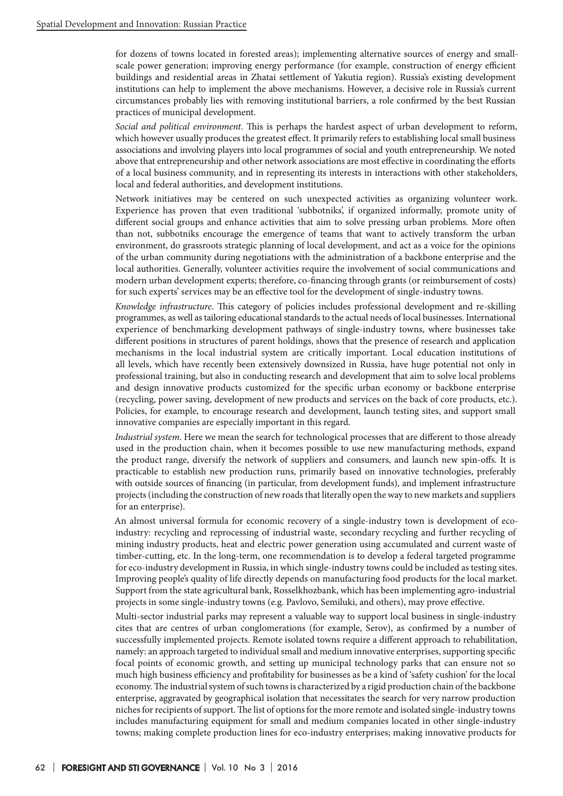for dozens of towns located in forested areas); implementing alternative sources of energy and smallscale power generation; improving energy performance (for example, construction of energy efficient buildings and residential areas in Zhatai settlement of Yakutia region). Russia's existing development institutions can help to implement the above mechanisms. However, a decisive role in Russia's current circumstances probably lies with removing institutional barriers, a role confirmed by the best Russian practices of municipal development.

*Social and political environment*. This is perhaps the hardest aspect of urban development to reform, which however usually produces the greatest effect. It primarily refers to establishing local small business associations and involving players into local programmes of social and youth entrepreneurship. We noted above that entrepreneurship and other network associations are most effective in coordinating the efforts of a local business community, and in representing its interests in interactions with other stakeholders, local and federal authorities, and development institutions.

Network initiatives may be centered on such unexpected activities as organizing volunteer work. Experience has proven that even traditional 'subbotniks', if organized informally, promote unity of different social groups and enhance activities that aim to solve pressing urban problems. More often than not, subbotniks encourage the emergence of teams that want to actively transform the urban environment, do grassroots strategic planning of local development, and act as a voice for the opinions of the urban community during negotiations with the administration of a backbone enterprise and the local authorities. Generally, volunteer activities require the involvement of social communications and modern urban development experts; therefore, co-financing through grants (or reimbursement of costs) for such experts' services may be an effective tool for the development of single-industry towns.

*Knowledge infrastructure*. This category of policies includes professional development and re-skilling programmes, as well as tailoring educational standards to the actual needs of local businesses. International experience of benchmarking development pathways of single-industry towns, where businesses take different positions in structures of parent holdings, shows that the presence of research and application mechanisms in the local industrial system are critically important. Local education institutions of all levels, which have recently been extensively downsized in Russia, have huge potential not only in professional training, but also in conducting research and development that aim to solve local problems and design innovative products customized for the specific urban economy or backbone enterprise (recycling, power saving, development of new products and services on the back of core products, etc.). Policies, for example, to encourage research and development, launch testing sites, and support small innovative companies are especially important in this regard.

*Industrial system*. Here we mean the search for technological processes that are different to those already used in the production chain, when it becomes possible to use new manufacturing methods, expand the product range, diversify the network of suppliers and consumers, and launch new spin-offs. It is practicable to establish new production runs, primarily based on innovative technologies, preferably with outside sources of financing (in particular, from development funds), and implement infrastructure projects (including the construction of new roads that literally open the way to new markets and suppliers for an enterprise).

An almost universal formula for economic recovery of a single-industry town is development of ecoindustry: recycling and reprocessing of industrial waste, secondary recycling and further recycling of mining industry products, heat and electric power generation using accumulated and current waste of timber-cutting, etc. In the long-term, one recommendation is to develop a federal targeted programme for eco-industry development in Russia, in which single-industry towns could be included as testing sites. Improving people's quality of life directly depends on manufacturing food products for the local market. Support from the state agricultural bank, Rosselkhozbank, which has been implementing agro-industrial projects in some single-industry towns (e.g. Pavlovo, Semiluki, and others), may prove effective.

Multi-sector industrial parks may represent a valuable way to support local business in single-industry cites that are centres of urban conglomerations (for example, Serov), as confirmed by a number of successfully implemented projects. Remote isolated towns require a different approach to rehabilitation, namely: an approach targeted to individual small and medium innovative enterprises, supporting specific focal points of economic growth, and setting up municipal technology parks that can ensure not so much high business efficiency and profitability for businesses as be a kind of 'safety cushion' for the local economy. The industrial system of such towns is characterized by a rigid production chain of the backbone enterprise, aggravated by geographical isolation that necessitates the search for very narrow production niches for recipients of support. The list of options for the more remote and isolated single-industry towns includes manufacturing equipment for small and medium companies located in other single-industry towns; making complete production lines for eco-industry enterprises; making innovative products for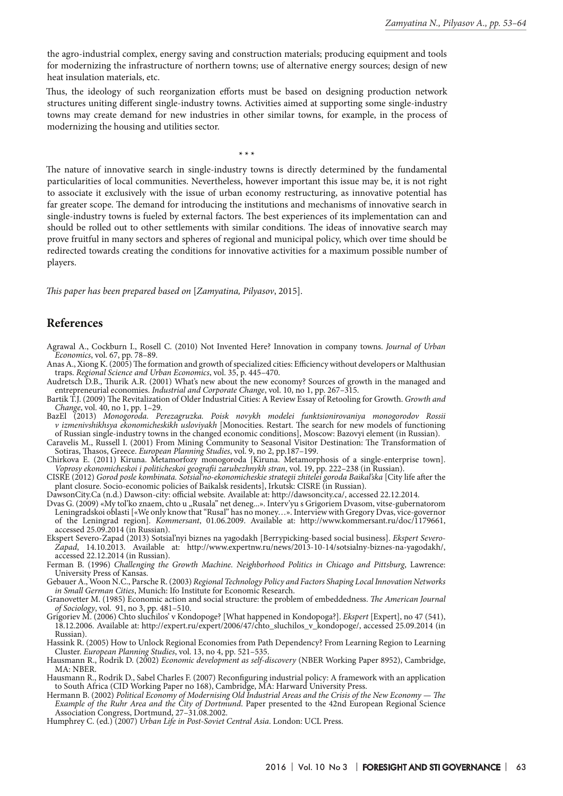the agro-industrial complex, energy saving and construction materials; producing equipment and tools for modernizing the infrastructure of northern towns; use of alternative energy sources; design of new heat insulation materials, etc.

Thus, the ideology of such reorganization efforts must be based on designing production network structures uniting different single-industry towns. Activities aimed at supporting some single-industry towns may create demand for new industries in other similar towns, for example, in the process of modernizing the housing and utilities sector.

**\* \* \***

The nature of innovative search in single-industry towns is directly determined by the fundamental particularities of local communities. Nevertheless, however important this issue may be, it is not right to associate it exclusively with the issue of urban economy restructuring, as innovative potential has far greater scope. The demand for introducing the institutions and mechanisms of innovative search in single-industry towns is fueled by external factors. The best experiences of its implementation can and should be rolled out to other settlements with similar conditions. The ideas of innovative search may prove fruitful in many sectors and spheres of regional and municipal policy, which over time should be redirected towards creating the conditions for innovative activities for a maximum possible number of players.

*This paper has been prepared based on* [*Zamyatina, Pilyasov*, 2015].

### **References**

- Agrawal A., Cockburn I., Rosell C. (2010) Not Invented Here? Innovation in company towns. *Journal of Urban Economics*, vol. 67, pp. 78–89.
- Anas A., Xiong K. (2005) The formation and growth of specialized cities: Efficiency without developers or Malthusian traps. *Regional Science and Urban Economics*, vol. 35, p. 445–470.
- Audretsch D.B., Thurik A.R. (2001) What's new about the new economy? Sources of growth in the managed and entrepreneurial economies. *Industrial and Corporate Change*, vol. 10, no 1, pp. 267–315.
- Bartik T.J. (2009) The Revitalization of Older Industrial Cities: A Review Essay of Retooling for Growth. *Growth and Change*, vol. 40, no 1, pp. 1–29.
- BazEl (2013) *Monogoroda. Perezagruzka. Poisk novykh modelei funktsionirovaniya monogorodov Rossii v izmenivshikhsya ekonomicheskikh usloviyakh* [Monocities. Restart. The search for new models of functioning of Russian single-industry towns in the changed economic conditions], Moscow: Bazovyi element (in Russian).

Caravelis M., Russell I. (2001) From Mining Community to Seasonal Visitor Destination: The Transformation of Sotiras, Thasos, Greece. *European Planning Studies*, vol. 9, no 2, pp.187–199.

- Chirkova E. (2011) Kiruna. Metamorfozy monogoroda [Kiruna. Metamorphosis of a single-enterprise town]. *Voprosy ekonomicheskoi i politicheskoi geografii zarubezhnykh stran*, vol. 19, pp. 222–238 (in Russian).
- CISRE (2012) *Gorod posle kombinata. Sotsial'no-ekonomicheskie strategii zhitelei goroda Baikal'ska* [City life after the plant closure. Socio-economic policies of Baikalsk residents], Irkutsk: CISRE (in Russian).

DawsonСity.Ca (n.d.) Dawson-city: official website. Available at: http://dawsoncity.ca/, accessed 22.12.2014.

- Dvas G. (2009) «My tol'ko znaem, chto u "Rusala" net deneg...». Interv'yu s Grigoriem Dvasom, vitse-gubernatorom Leningradskoi oblasti [«We only know that "Rusal" has no money…». Interview with Gregory Dvas, vice-governor of the Leningrad region]. *Kommersant*, 01.06.2009. Available at: http://www.kommersant.ru/doc/1179661, accessed 25.09.2014 (in Russian).
- Ekspert Severo-Zapad (2013) Sotsial'nyi biznes na yagodakh [Berrypicking-based social business]. *Ekspert Severo-Zapad*, 14.10.2013. Available at: http://www.expertnw.ru/news/2013-10-14/sotsialny-biznes-na-yagodakh/, accessed 22.12.2014 (in Russian).
- Ferman B. (1996) *Challenging the Growth Machine. Neighborhood Politics in Chicago and Pittsburg*, Lawrence: University Press of Kansas.
- Gebauer A., Woon N.C., Parsche R. (2003) *Regional Technology Policy and Factors Shaping Local Innovation Networks in Small German Cities*, Munich: Ifo Institute for Economic Research.

Granovetter M. (1985) Economic action and social structure: the problem of embeddedness. *The American Journal of Sociology*, vol. 91, no 3, pp. 481–510.

- Grigoriev M. (2006) Chto sluchilos' v Kondopoge? [What happened in Kondopoga?]. *Ekspert* [Expert], no 47 (541), 18.12.2006. Available at: http://expert.ru/expert/2006/47/chto\_sluchilos\_v\_kondopoge/, accessed 25.09.2014 (in Russian).
- Hassink R. (2005) How to Unlock Regional Economies from Path Dependency? From Learning Region to Learning Cluster. *European Planning Studies*, vol. 13, no 4, pp. 521–535.
- Hausmann R., Rodrik D. (2002) *Economic development as self-discovery* (NBER Working Paper 8952), Cambridge, MA: NBER.
- Hausmann R., Rodrik D., Sabel Charles F. (2007) Reconfiguring industrial policy: A framework with an application to South Africa (CID Working Paper no 168), Cambridge, MA: Harward University Press.
- Hermann B. (2002) *Political Economy of Modernising Old Industrial Areas and the Crisis of the New Economy The Example of the Ruhr Area and the City of Dortmund*. Paper presented to the 42nd European Regional Science Association Congress, Dortmund, 27–31.08.2002.
- Humphrey C. (ed.) (2007) *Urban Life in Post-Soviet Central Asia*. London: UCL Press.